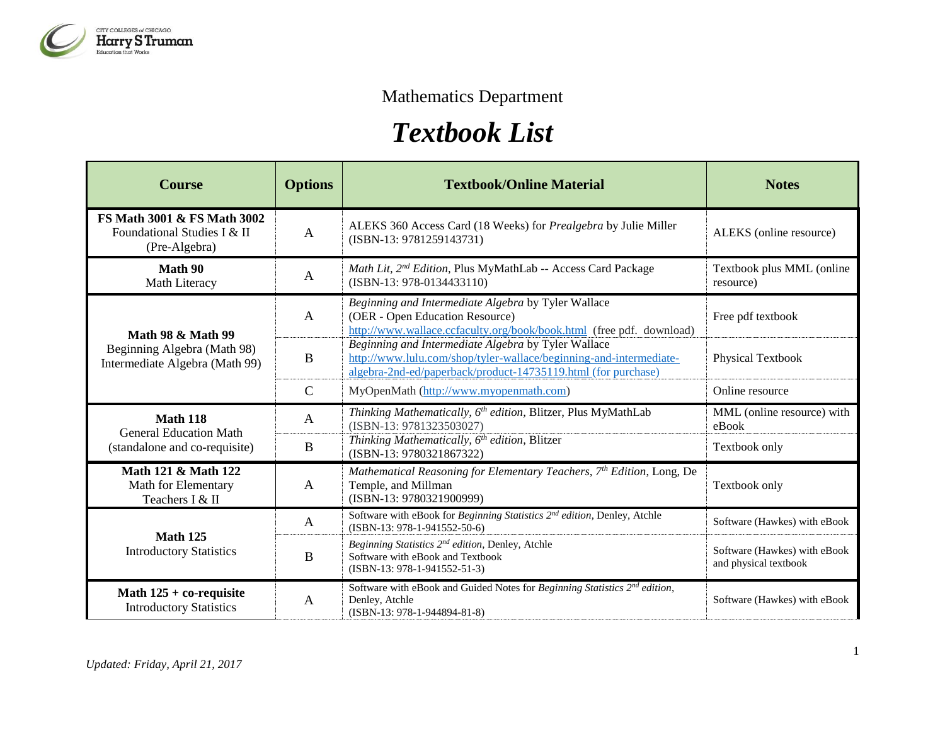

## Mathematics Department

## *Textbook List*

| <b>Course</b>                                                                                 | <b>Options</b> | <b>Textbook/Online Material</b>                                                                                                                                                            | <b>Notes</b>                                          |
|-----------------------------------------------------------------------------------------------|----------------|--------------------------------------------------------------------------------------------------------------------------------------------------------------------------------------------|-------------------------------------------------------|
| FS Math 3001 & FS Math 3002<br>Foundational Studies I & II<br>(Pre-Algebra)                   | $\mathbf{A}$   | ALEKS 360 Access Card (18 Weeks) for <i>Prealgebra</i> by Julie Miller<br>$(ISBN-13: 9781259143731)$                                                                                       | ALEKS (online resource)                               |
| Math 90<br>Math Literacy                                                                      | $\mathbf{A}$   | Math Lit, 2 <sup>nd</sup> Edition, Plus MyMathLab -- Access Card Package<br>(ISBN-13: 978-0134433110)                                                                                      | Textbook plus MML (online<br>resource)                |
| <b>Math 98 &amp; Math 99</b><br>Beginning Algebra (Math 98)<br>Intermediate Algebra (Math 99) | $\mathbf{A}$   | Beginning and Intermediate Algebra by Tyler Wallace<br>(OER - Open Education Resource)<br>http://www.wallace.ccfaculty.org/book/book.html (free pdf. download)                             | Free pdf textbook                                     |
|                                                                                               | $\mathbf B$    | Beginning and Intermediate Algebra by Tyler Wallace<br>http://www.lulu.com/shop/tyler-wallace/beginning-and-intermediate-<br>algebra-2nd-ed/paperback/product-14735119.html (for purchase) | <b>Physical Textbook</b>                              |
|                                                                                               | $\mathcal{C}$  | MyOpenMath (http://www.myopenmath.com)                                                                                                                                                     | Online resource                                       |
| <b>Math 118</b><br><b>General Education Math</b><br>(standalone and co-requisite)             | A              | Thinking Mathematically, 6 <sup>th</sup> edition, Blitzer, Plus MyMathLab<br>(ISBN-13: 9781323503027)                                                                                      | MML (online resource) with<br>eBook                   |
|                                                                                               | B              | Thinking Mathematically, 6 <sup>th</sup> edition, Blitzer<br>(ISBN-13: 9780321867322)                                                                                                      | Textbook only                                         |
| Math 121 & Math 122<br>Math for Elementary<br>Teachers I & II                                 | $\mathbf{A}$   | Mathematical Reasoning for Elementary Teachers, 7th Edition, Long, De<br>Temple, and Millman<br>(ISBN-13: 9780321900999)                                                                   | Textbook only                                         |
| <b>Math 125</b><br><b>Introductory Statistics</b>                                             | A              | Software with eBook for Beginning Statistics 2 <sup>nd</sup> edition, Denley, Atchle<br>(ISBN-13: 978-1-941552-50-6)                                                                       | Software (Hawkes) with eBook                          |
|                                                                                               | B              | Beginning Statistics 2 <sup>nd</sup> edition, Denley, Atchle<br>Software with eBook and Textbook<br>$(ISBN-13: 978-1-941552-51-3)$                                                         | Software (Hawkes) with eBook<br>and physical textbook |
| Math $125 +$ co-requisite<br><b>Introductory Statistics</b>                                   | A              | Software with eBook and Guided Notes for Beginning Statistics 2 <sup>nd</sup> edition,<br>Denley, Atchle<br>(ISBN-13: 978-1-944894-81-8)                                                   | Software (Hawkes) with eBook                          |